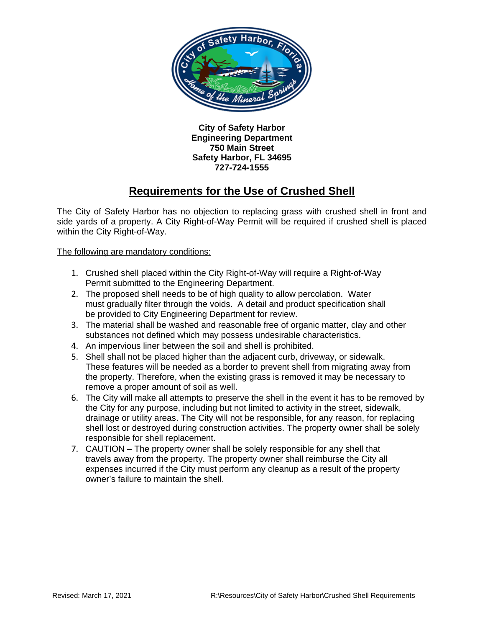

**City of Safety Harbor Engineering Department 750 Main Street Safety Harbor, FL 34695 727-724-1555**

## **Requirements for the Use of Crushed Shell**

The City of Safety Harbor has no objection to replacing grass with crushed shell in front and side yards of a property. A City Right-of-Way Permit will be required if crushed shell is placed within the City Right-of-Way.

The following are mandatory conditions:

- 1. Crushed shell placed within the City Right-of-Way will require a Right-of-Way Permit submitted to the Engineering Department.
- 2. The proposed shell needs to be of high quality to allow percolation. Water must gradually filter through the voids. A detail and product specification shall be provided to City Engineering Department for review.
- 3. The material shall be washed and reasonable free of organic matter, clay and other substances not defined which may possess undesirable characteristics.
- 4. An impervious liner between the soil and shell is prohibited.
- 5. Shell shall not be placed higher than the adjacent curb, driveway, or sidewalk. These features will be needed as a border to prevent shell from migrating away from the property. Therefore, when the existing grass is removed it may be necessary to remove a proper amount of soil as well.
- 6. The City will make all attempts to preserve the shell in the event it has to be removed by the City for any purpose, including but not limited to activity in the street, sidewalk, drainage or utility areas. The City will not be responsible, for any reason, for replacing shell lost or destroyed during construction activities. The property owner shall be solely responsible for shell replacement.
- 7. CAUTION The property owner shall be solely responsible for any shell that travels away from the property. The property owner shall reimburse the City all expenses incurred if the City must perform any cleanup as a result of the property owner's failure to maintain the shell.